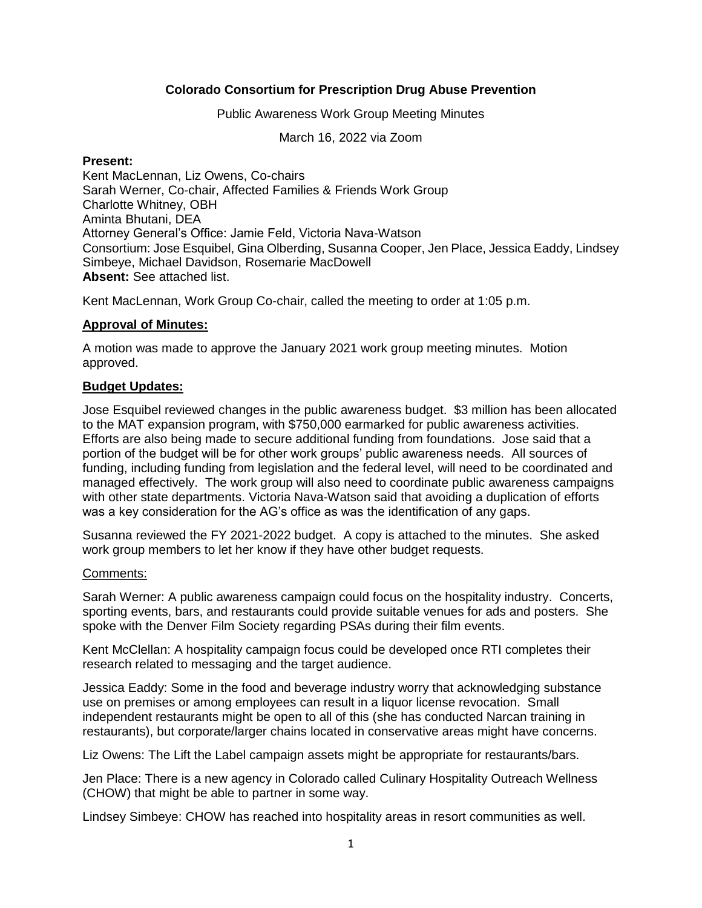# **Colorado Consortium for Prescription Drug Abuse Prevention**

Public Awareness Work Group Meeting Minutes

March 16, 2022 via Zoom

#### **Present:**

Kent MacLennan, Liz Owens, Co-chairs Sarah Werner, Co-chair, Affected Families & Friends Work Group Charlotte Whitney, OBH Aminta Bhutani, DEA Attorney General's Office: Jamie Feld, Victoria Nava-Watson Consortium: Jose Esquibel, Gina Olberding, Susanna Cooper, Jen Place, Jessica Eaddy, Lindsey Simbeye, Michael Davidson, Rosemarie MacDowell **Absent:** See attached list.

Kent MacLennan, Work Group Co-chair, called the meeting to order at 1:05 p.m.

### **Approval of Minutes:**

A motion was made to approve the January 2021 work group meeting minutes. Motion approved.

### **Budget Updates:**

Jose Esquibel reviewed changes in the public awareness budget. \$3 million has been allocated to the MAT expansion program, with \$750,000 earmarked for public awareness activities. Efforts are also being made to secure additional funding from foundations. Jose said that a portion of the budget will be for other work groups' public awareness needs. All sources of funding, including funding from legislation and the federal level, will need to be coordinated and managed effectively. The work group will also need to coordinate public awareness campaigns with other state departments. Victoria Nava-Watson said that avoiding a duplication of efforts was a key consideration for the AG's office as was the identification of any gaps.

Susanna reviewed the FY 2021-2022 budget. A copy is attached to the minutes. She asked work group members to let her know if they have other budget requests.

#### Comments:

Sarah Werner: A public awareness campaign could focus on the hospitality industry. Concerts, sporting events, bars, and restaurants could provide suitable venues for ads and posters. She spoke with the Denver Film Society regarding PSAs during their film events.

Kent McClellan: A hospitality campaign focus could be developed once RTI completes their research related to messaging and the target audience.

Jessica Eaddy: Some in the food and beverage industry worry that acknowledging substance use on premises or among employees can result in a liquor license revocation. Small independent restaurants might be open to all of this (she has conducted Narcan training in restaurants), but corporate/larger chains located in conservative areas might have concerns.

Liz Owens: The Lift the Label campaign assets might be appropriate for restaurants/bars.

Jen Place: There is a new agency in Colorado called Culinary Hospitality Outreach Wellness (CHOW) that might be able to partner in some way.

Lindsey Simbeye: CHOW has reached into hospitality areas in resort communities as well.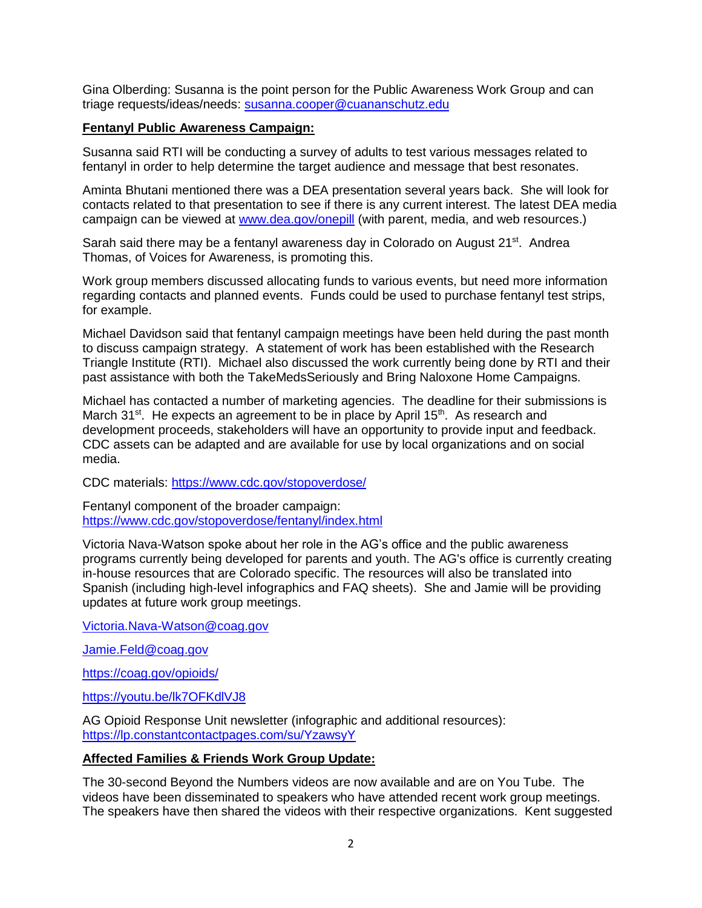Gina Olberding: Susanna is the point person for the Public Awareness Work Group and can triage requests/ideas/needs: [susanna.cooper@cuananschutz.edu](mailto:susanna.cooper@cuananschutz.edu)

# **Fentanyl Public Awareness Campaign:**

Susanna said RTI will be conducting a survey of adults to test various messages related to fentanyl in order to help determine the target audience and message that best resonates.

Aminta Bhutani mentioned there was a DEA presentation several years back. She will look for contacts related to that presentation to see if there is any current interest. The latest DEA media campaign can be viewed at [www.dea.gov/onepill](http://www.dea.gov/onepill) (with parent, media, and web resources.)

Sarah said there may be a fentanyl awareness day in Colorado on August 21<sup>st</sup>. Andrea Thomas, of Voices for Awareness, is promoting this.

Work group members discussed allocating funds to various events, but need more information regarding contacts and planned events. Funds could be used to purchase fentanyl test strips, for example.

Michael Davidson said that fentanyl campaign meetings have been held during the past month to discuss campaign strategy. A statement of work has been established with the Research Triangle Institute (RTI). Michael also discussed the work currently being done by RTI and their past assistance with both the TakeMedsSeriously and Bring Naloxone Home Campaigns.

Michael has contacted a number of marketing agencies. The deadline for their submissions is March 31<sup>st</sup>. He expects an agreement to be in place by April 15<sup>th</sup>. As research and development proceeds, stakeholders will have an opportunity to provide input and feedback. CDC assets can be adapted and are available for use by local organizations and on social media.

CDC materials:<https://www.cdc.gov/stopoverdose/>

Fentanyl component of the broader campaign: <https://www.cdc.gov/stopoverdose/fentanyl/index.html>

Victoria Nava-Watson spoke about her role in the AG's office and the public awareness programs currently being developed for parents and youth. The AG's office is currently creating in-house resources that are Colorado specific. The resources will also be translated into Spanish (including high-level infographics and FAQ sheets). She and Jamie will be providing updates at future work group meetings.

[Victoria.Nava-Watson@coag.gov](mailto:Victoria.Nava-Watson@coag.gov)

[Jamie.Feld@coag.gov](mailto:Jamie.Feld@coag.gov)

<https://coag.gov/opioids/>

<https://youtu.be/lk7OFKdlVJ8>

AG Opioid Response Unit newsletter (infographic and additional resources): <https://lp.constantcontactpages.com/su/YzawsyY>

#### **Affected Families & Friends Work Group Update:**

The 30-second Beyond the Numbers videos are now available and are on You Tube. The videos have been disseminated to speakers who have attended recent work group meetings. The speakers have then shared the videos with their respective organizations. Kent suggested